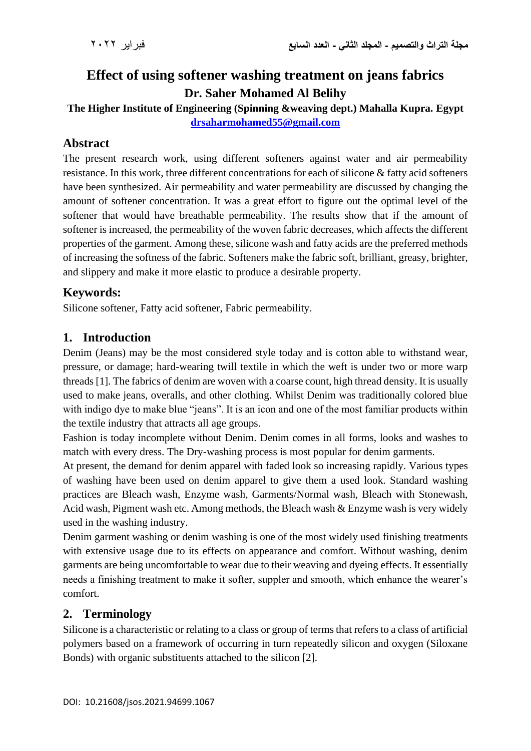# **Effect of using softener washing treatment on jeans fabrics Dr. Saher Mohamed Al Belihy**

**The Higher Institute of Engineering (Spinning &weaving dept.) Mahalla Kupra. Egypt [drsaharmohamed55@gmail.com](mailto:drsaharmohamed55@gmail.com)**

# **Abstract**

The present research work, using different softeners against water and air permeability resistance. In this work, three different concentrations for each of silicone & fatty acid softeners have been synthesized. Air permeability and water permeability are discussed by changing the amount of softener concentration. It was a great effort to figure out the optimal level of the softener that would have breathable permeability. The results show that if the amount of softener is increased, the permeability of the woven fabric decreases, which affects the different properties of the garment. Among these, silicone wash and fatty acids are the preferred methods of increasing the softness of the fabric. Softeners make the fabric soft, brilliant, greasy, brighter, and slippery and make it more elastic to produce a desirable property.

# **Keywords:**

Silicone softener, Fatty acid softener, Fabric permeability.

### **1. Introduction**

Denim (Jeans) may be the most considered style today and is cotton able to withstand wear, pressure, or damage; hard-wearing twill textile in which the weft is under two or more warp threads [1]. The fabrics of denim are woven with a coarse count, high thread density. It is usually used to make jeans, overalls, and other clothing. Whilst Denim was traditionally colored blue with indigo dye to make blue "jeans". It is an icon and one of the most familiar products within the textile industry that attracts all age groups.

Fashion is today incomplete without Denim. Denim comes in all forms, looks and washes to match with every dress. The Dry-washing process is most popular for denim garments.

At present, the demand for denim apparel with faded look so increasing rapidly. Various types of washing have been used on denim apparel to give them a used look. Standard washing practices are Bleach wash, Enzyme wash, Garments/Normal wash, Bleach with Stonewash, Acid wash, Pigment wash etc. Among methods, the Bleach wash & Enzyme wash is very widely used in the washing industry.

Denim garment washing or denim washing is one of the most widely used finishing treatments with extensive usage due to its effects on appearance and comfort. Without washing, denim garments are being uncomfortable to wear due to their weaving and dyeing effects. It essentially needs a finishing treatment to make it softer, suppler and smooth, which enhance the wearer's comfort.

### **2. Terminology**

Silicone is a characteristic or relating to a class or group of terms that refers to a class of artificial polymers based on a framework of occurring in turn repeatedly silicon and oxygen (Siloxane Bonds) with organic substituents attached to the silicon [2].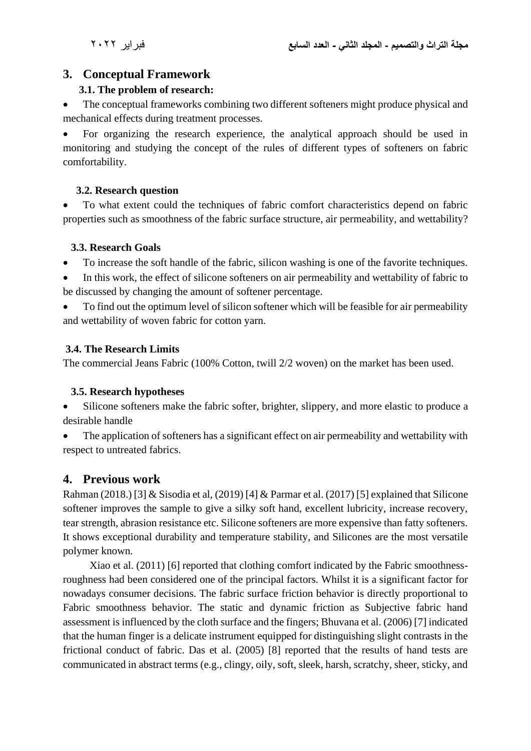# **3. Conceptual Framework**

### **3.1. The problem of research:**

The conceptual frameworks combining two different softeners might produce physical and mechanical effects during treatment processes.

• For organizing the research experience, the analytical approach should be used in monitoring and studying the concept of the rules of different types of softeners on fabric comfortability.

### **3.2. Research question**

• To what extent could the techniques of fabric comfort characteristics depend on fabric properties such as smoothness of the fabric surface structure, air permeability, and wettability?

### **3.3. Research Goals**

- To increase the soft handle of the fabric, silicon washing is one of the favorite techniques.
- In this work, the effect of silicone softeners on air permeability and wettability of fabric to be discussed by changing the amount of softener percentage.
- To find out the optimum level of silicon softener which will be feasible for air permeability and wettability of woven fabric for cotton yarn.

# **3.4. The Research Limits**

The commercial Jeans Fabric (100% Cotton, twill 2/2 woven) on the market has been used.

### **3.5. Research hypotheses**

• Silicone softeners make the fabric softer, brighter, slippery, and more elastic to produce a desirable handle

The application of softeners has a significant effect on air permeability and wettability with respect to untreated fabrics.

# **4. Previous work**

Rahman (2018.) [3] & Sisodia et al, (2019) [4] & Parmar et al. (2017) [5] explained that Silicone softener improves the sample to give a silky soft hand, excellent lubricity, increase recovery, tear strength, abrasion resistance etc. Silicone softeners are more expensive than fatty softeners. It shows exceptional durability and temperature stability, and Silicones are the most versatile polymer known.

 Xiao et al. (2011) [6] reported that clothing comfort indicated by the Fabric smoothnessroughness had been considered one of the principal factors. Whilst it is a significant factor for nowadays consumer decisions. The fabric surface friction behavior is directly proportional to Fabric smoothness behavior. The static and dynamic friction as Subjective fabric hand assessment is influenced by the cloth surface and the fingers; Bhuvana et al. (2006) [7] indicated that the human finger is a delicate instrument equipped for distinguishing slight contrasts in the frictional conduct of fabric. Das et al. (2005) [8] reported that the results of hand tests are communicated in abstract terms (e.g., clingy, oily, soft, sleek, harsh, scratchy, sheer, sticky, and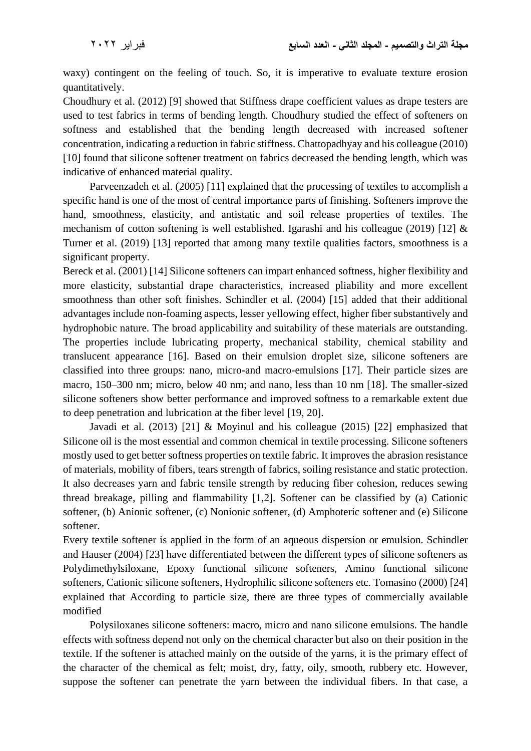waxy) contingent on the feeling of touch. So, it is imperative to evaluate texture erosion quantitatively.

Choudhury et al. (2012) [9] showed that Stiffness drape coefficient values as drape testers are used to test fabrics in terms of bending length. Choudhury studied the effect of softeners on softness and established that the bending length decreased with increased softener concentration, indicating a reduction in fabric stiffness. Chattopadhyay and his colleague (2010) [10] found that silicone softener treatment on fabrics decreased the bending length, which was indicative of enhanced material quality.

 Parveenzadeh et al. (2005) [11] explained that the processing of textiles to accomplish a specific hand is one of the most of central importance parts of finishing. Softeners improve the hand, smoothness, elasticity, and antistatic and soil release properties of textiles. The mechanism of cotton softening is well established. Igarashi and his colleague (2019) [12] & Turner et al. (2019) [13] reported that among many textile qualities factors, smoothness is a significant property.

Bereck et al. (2001) [14] Silicone softeners can impart enhanced softness, higher flexibility and more elasticity, substantial drape characteristics, increased pliability and more excellent smoothness than other soft finishes. Schindler et al. (2004) [15] added that their additional advantages include non-foaming aspects, lesser yellowing effect, higher fiber substantively and hydrophobic nature. The broad applicability and suitability of these materials are outstanding. The properties include lubricating property, mechanical stability, chemical stability and translucent appearance [16]. Based on their emulsion droplet size, silicone softeners are classified into three groups: nano, micro-and macro-emulsions [17]. Their particle sizes are macro, 150–300 nm; micro, below 40 nm; and nano, less than 10 nm [18]. The smaller-sized silicone softeners show better performance and improved softness to a remarkable extent due to deep penetration and lubrication at the fiber level [19, 20].

 Javadi et al. (2013) [21] & Moyinul and his colleague (2015) [22] emphasized that Silicone oil is the most essential and common chemical in textile processing. Silicone softeners mostly used to get better softness properties on textile fabric. It improves the abrasion resistance of materials, mobility of fibers, tears strength of fabrics, soiling resistance and static protection. It also decreases yarn and fabric tensile strength by reducing fiber cohesion, reduces sewing thread breakage, pilling and flammability [1,2]. Softener can be classified by (a) Cationic softener, (b) Anionic softener, (c) Nonionic softener, (d) Amphoteric softener and (e) Silicone softener.

Every textile softener is applied in the form of an aqueous dispersion or emulsion. Schindler and Hauser (2004) [23] have differentiated between the different types of silicone softeners as Polydimethylsiloxane, Epoxy functional silicone softeners, Amino functional silicone softeners, Cationic silicone softeners, Hydrophilic silicone softeners etc. Tomasino (2000) [24] explained that According to particle size, there are three types of commercially available modified

 Polysiloxanes silicone softeners: macro, micro and nano silicone emulsions. The handle effects with softness depend not only on the chemical character but also on their position in the textile. If the softener is attached mainly on the outside of the yarns, it is the primary effect of the character of the chemical as felt; moist, dry, fatty, oily, smooth, rubbery etc. However, suppose the softener can penetrate the yarn between the individual fibers. In that case, a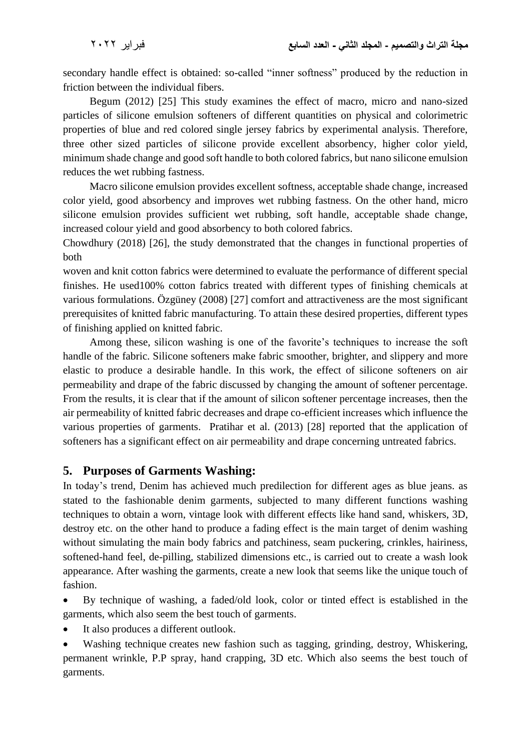secondary handle effect is obtained: so-called "inner softness" produced by the reduction in friction between the individual fibers.

 Begum (2012) [25] This study examines the effect of macro, micro and nano-sized particles of silicone emulsion softeners of different quantities on physical and colorimetric properties of blue and red colored single jersey fabrics by experimental analysis. Therefore, three other sized particles of silicone provide excellent absorbency, higher color yield, minimum shade change and good soft handle to both colored fabrics, but nano silicone emulsion reduces the wet rubbing fastness.

 Macro silicone emulsion provides excellent softness, acceptable shade change, increased color yield, good absorbency and improves wet rubbing fastness. On the other hand, micro silicone emulsion provides sufficient wet rubbing, soft handle, acceptable shade change, increased colour yield and good absorbency to both colored fabrics.

Chowdhury (2018) [26], the study demonstrated that the changes in functional properties of both

woven and knit cotton fabrics were determined to evaluate the performance of different special finishes. He used100% cotton fabrics treated with different types of finishing chemicals at various formulations. Özgüney (2008) [27] comfort and attractiveness are the most significant prerequisites of knitted fabric manufacturing. To attain these desired properties, different types of finishing applied on knitted fabric.

 Among these, silicon washing is one of the favorite's techniques to increase the soft handle of the fabric. Silicone softeners make fabric smoother, brighter, and slippery and more elastic to produce a desirable handle. In this work, the effect of silicone softeners on air permeability and drape of the fabric discussed by changing the amount of softener percentage. From the results, it is clear that if the amount of silicon softener percentage increases, then the air permeability of knitted fabric decreases and drape co-efficient increases which influence the various properties of garments. Pratihar et al. (2013) [28] reported that the application of softeners has a significant effect on air permeability and drape concerning untreated fabrics.

### **5. Purposes of Garments Washing:**

In today's trend, Denim has achieved much predilection for different ages as blue jeans. as stated to the fashionable denim garments, subjected to many different functions washing techniques to obtain a worn, vintage look with different effects like hand sand, whiskers, 3D, destroy etc. on the other hand to produce a fading effect is the main target of denim washing without simulating the main body fabrics and patchiness, seam puckering, crinkles, hairiness, softened-hand feel, de-pilling, stabilized dimensions etc., is carried out to create a wash look appearance. After washing the garments, create a new look that seems like the unique touch of fashion.

• By technique of washing, a faded/old look, color or tinted effect is established in the garments, which also seem the best touch of garments.

• It also produces a different outlook.

[Washing technique](https://textilelearner.net/garments-washing-techniques-used-in-bangladesh/) creates new fashion such as tagging, grinding, destroy, Whiskering, permanent wrinkle, P.P spray, hand crapping, 3D etc. Which also seems the best touch of garments.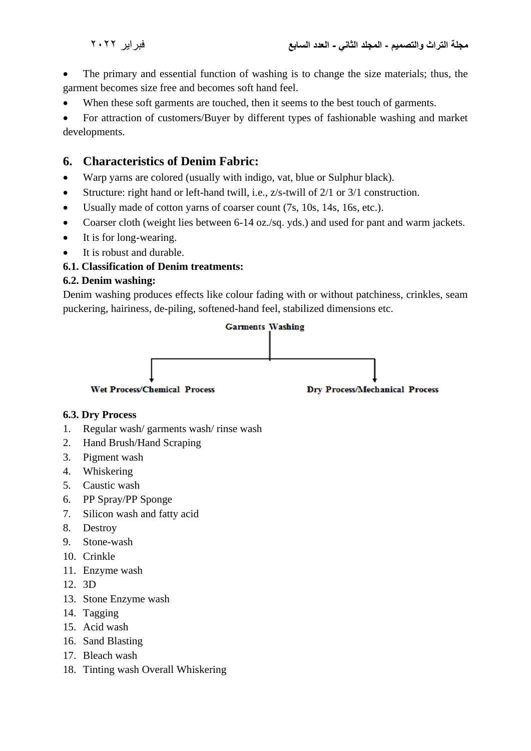• The primary and essential function of washing is to change the size materials; thus, the garment becomes size free and becomes soft hand feel.

• When these soft garments are touched, then it seems to the best touch of garments.

• For attraction of customers/Buyer by different types of fashionable washing and market developments.

# **6. Characteristics of Denim Fabric:**

- Warp yarns are colored (usually with indigo, vat, blue or Sulphur black).
- Structure: right hand or left-hand twill, i.e., z/s-twill of 2/1 or 3/1 construction.
- Usually made of cotton yarns of coarser count (7s, 10s, 14s, 16s, etc.).
- Coarser cloth (weight lies between 6-14 oz./sq. yds.) and used for pant and warm jackets.
- It is for long-wearing.
- It is robust and durable.

#### **6.1. Classification of Denim treatments:**

#### **6.2. Denim washing:**

Denim washing produces effects like colour fading with or without patchiness, crinkles, seam puckering, hairiness, de-piling, softened-hand feel, stabilized dimensions etc.



#### **6.3. Dry Process**

- 1. Regular wash/ garments wash/ rinse wash
- 2. Hand Brush/Hand Scraping
- 3. Pigment wash
- 4. Whiskering
- 5. Caustic wash
- 6. PP Spray/PP Sponge
- 7. Silicon wash and fatty acid
- 8. Destroy
- 9. [Stone-wash](https://textilelearner.net/bio-stone-washing-with-celluloses-for-denim/)
- 10. Crinkle
- 11. Enzyme wash
- 12. 3D
- 13. Stone Enzyme wash
- 14. Tagging
- 15. Acid wash
- 16. Sand Blasting
- 17. Bleach wash
- 18. Tinting wash Overall Whiskering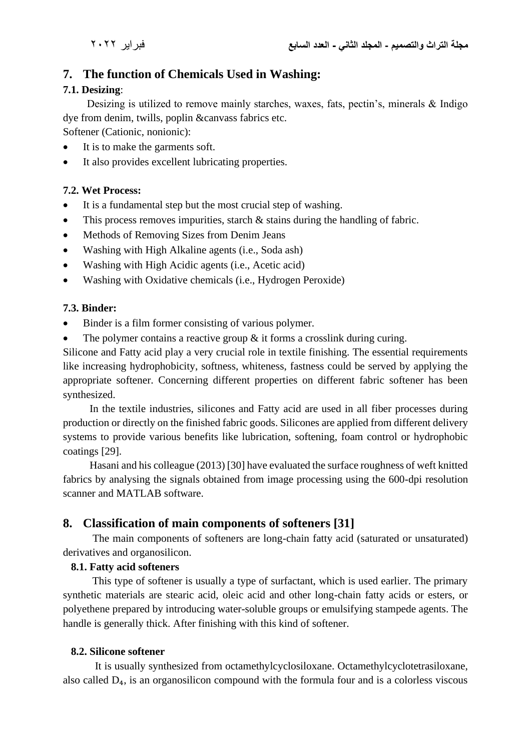# **7. The function of Chemicals Used in Washing:**

#### **7.1. Desizing**:

 Desizing is utilized to remove mainly starches, waxes, fats, pectin's, minerals & Indigo dye from denim, twills, poplin &canvass fabrics etc.

Softener (Cationic, nonionic):

- It is to make the garments soft.
- It also provides excellent lubricating properties.

### **7.2. Wet Process:**

- It is a fundamental step but the most crucial step of washing.
- This process removes impurities, starch & stains during the handling of fabric.
- Methods of Removing Sizes from Denim Jeans
- Washing with High Alkaline agents (i.e., Soda ash)
- Washing with High Acidic agents (i.e., Acetic acid)
- Washing with Oxidative chemicals (i.e., Hydrogen Peroxide)

### **7.3. Binder:**

- Binder is a film former consisting of various polymer.
- The polymer contains a reactive group & it forms a crosslink during curing.

Silicone and Fatty acid play a very crucial role in textile finishing. The essential requirements like increasing hydrophobicity, softness, whiteness, fastness could be served by applying the appropriate softener. Concerning different properties on different fabric softener has been synthesized.

 In the textile industries, silicones and Fatty acid are used in all fiber processes during production or directly on the finished fabric goods. Silicones are applied from different delivery systems to provide various benefits like lubrication, softening, foam control or hydrophobic coatings [29].

 Hasani and his colleague (2013) [30] have evaluated the surface roughness of weft knitted fabrics by analysing the signals obtained from image processing using the 600-dpi resolution scanner and MATLAB software.

# **8. Classification of main components of softeners [31]**

 The main components of softeners are long-chain fatty acid (saturated or unsaturated) derivatives and organosilicon.

#### **8.1. Fatty acid softeners**

This type of softener is usually a type of surfactant, which is used earlier. The primary synthetic materials are stearic acid, oleic acid and other long-chain fatty acids or esters, or polyethene prepared by introducing water-soluble groups or emulsifying stampede agents. The handle is generally thick. After finishing with this kind of softener.

#### **8.2. Silicone softener**

 It is usually synthesized from octamethylcyclosiloxane. Octamethylcyclotetrasiloxane, also called  $D_4$ , is an organosilicon compound with the formula four and is a colorless viscous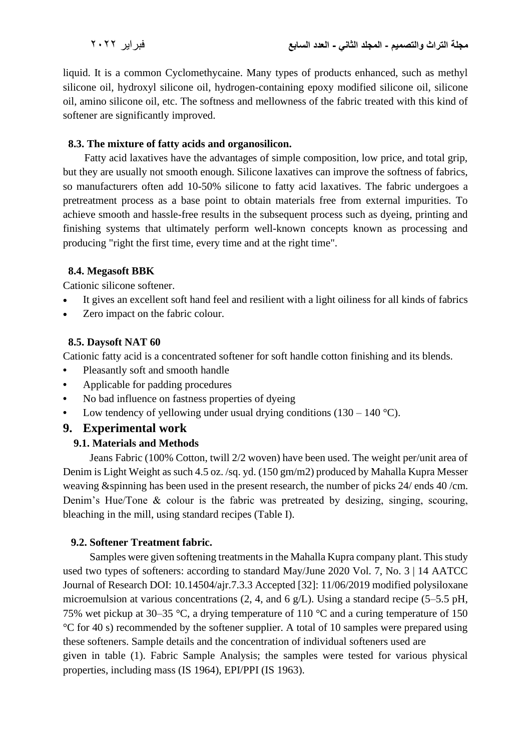liquid. It is a common Cyclomethycaine. Many types of products enhanced, such as methyl silicone oil, hydroxyl silicone oil, hydrogen-containing epoxy modified silicone oil, silicone oil, amino silicone oil, etc. The softness and mellowness of the fabric treated with this kind of softener are significantly improved.

#### **8.3. The mixture of fatty acids and organosilicon.**

 Fatty acid laxatives have the advantages of simple composition, low price, and total grip, but they are usually not smooth enough. Silicone laxatives can improve the softness of fabrics, so manufacturers often add 10-50% silicone to fatty acid laxatives. The fabric undergoes a pretreatment process as a base point to obtain materials free from external impurities. To achieve smooth and hassle-free results in the subsequent process such as dyeing, printing and finishing systems that ultimately perform well-known concepts known as processing and producing "right the first time, every time and at the right time".

#### **8.4. Megasoft BBK**

Cationic silicone softener.

- It gives an excellent soft hand feel and resilient with a light oiliness for all kinds of fabrics
- Zero impact on the fabric colour.

#### **8.5. Daysoft NAT 60**

Cationic fatty acid is a concentrated softener for soft handle cotton finishing and its blends.

- **•** Pleasantly soft and smooth handle
- **•** Applicable for padding procedures
- **•** No bad influence on fastness properties of dyeing
- Low tendency of yellowing under usual drying conditions  $(130 140 \degree C)$ .

# **9. Experimental work**

#### **9.1. Materials and Methods**

 Jeans Fabric (100% Cotton, twill 2/2 woven) have been used. The weight per/unit area of Denim is Light Weight as such 4.5 oz. /sq. yd. (150 gm/m2) produced by Mahalla Kupra Messer weaving &spinning has been used in the present research, the number of picks 24/ ends 40 /cm. Denim's Hue/Tone & colour is the fabric was pretreated by desizing, singing, scouring, bleaching in the mill, using standard recipes (Table I).

#### **9.2. Softener Treatment fabric.**

 Samples were given softening treatments in the Mahalla Kupra company plant. This study used two types of softeners: according to standard May/June 2020 Vol. 7, No. 3 | 14 AATCC Journal of Research DOI: 10.14504/ajr.7.3.3 Accepted [32]: 11/06/2019 modified polysiloxane microemulsion at various concentrations (2, 4, and 6 g/L). Using a standard recipe (5–5.5 pH, 75% wet pickup at 30–35 °C, a drying temperature of 110 °C and a curing temperature of 150 °C for 40 s) recommended by the softener supplier. A total of 10 samples were prepared using these softeners. Sample details and the concentration of individual softeners used are given in table (1). Fabric Sample Analysis; the samples were tested for various physical properties, including mass (IS 1964), EPI/PPI (IS 1963).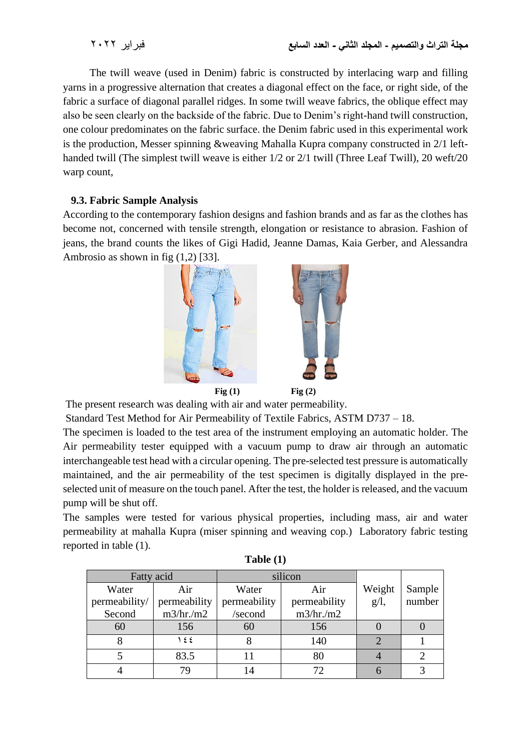The twill weave (used in Denim) fabric is constructed by interlacing warp and filling yarns in a progressive alternation that creates a diagonal effect on the face, or right side, of the fabric a surface of diagonal parallel ridges. In some twill weave fabrics, the oblique effect may also be seen clearly on the backside of the fabric. Due to Denim's right-hand twill construction, one colour predominates on the fabric surface. the Denim fabric used in this experimental work is the production, Messer spinning &weaving Mahalla Kupra company constructed in 2/1 lefthanded twill (The simplest twill weave is either 1/2 or 2/1 twill (Three Leaf Twill), 20 weft/20 warp count,

#### **9.3. Fabric Sample Analysis**

According to the contemporary fashion designs and fashion brands and as far as the clothes has become not, concerned with tensile strength, elongation or resistance to abrasion. Fashion of jeans, the brand counts the likes of Gigi Hadid, Jeanne Damas, Kaia Gerber, and Alessandra Ambrosio as shown in fig (1,2) [33].



The present research was dealing with air and water permeability.

Standard Test Method for Air Permeability of Textile Fabrics, ASTM D737 – 18.

The specimen is loaded to the test area of the instrument employing an automatic holder. The Air permeability tester equipped with a vacuum pump to draw air through an automatic interchangeable test head with a circular opening. The pre-selected test pressure is automatically maintained, and the air permeability of the test specimen is digitally displayed in the preselected unit of measure on the touch panel. After the test, the holder is released, and the vacuum pump will be shut off.

The samples were tested for various physical properties, including mass, air and water permeability at mahalla Kupra (miser spinning and weaving cop.) Laboratory fabric testing reported in table (1).

| Fatty acid    |              | silicon      |              |         |        |
|---------------|--------------|--------------|--------------|---------|--------|
| Water         | Air          | Water        | Air          | Weight  | Sample |
| permeability/ | permeability | permeability | permeability | $g/l$ , | number |
| Second        | m3/hr./m2    | /second      | m3/hr./m2    |         |        |
| 60            | 156          | 60           | 156          |         |        |
|               | ١٤٤          |              | 140          |         |        |
|               | 83.5         |              | 80           |         |        |
|               |              | 14           |              |         |        |

**Table (1)**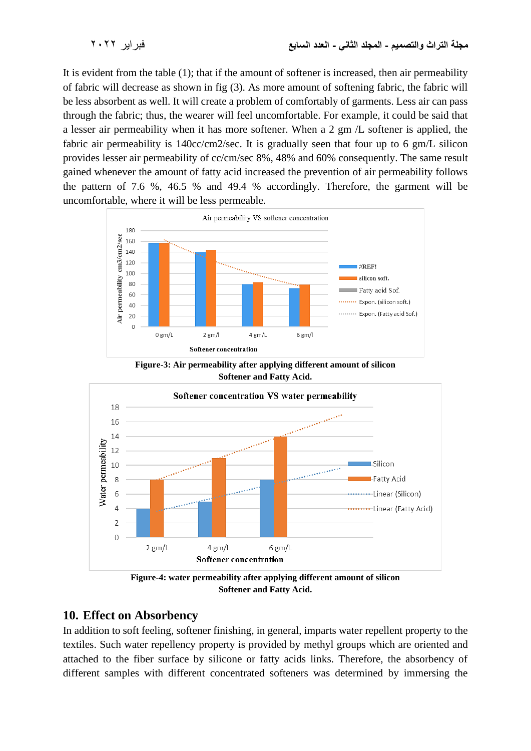It is evident from the table (1); that if the amount of softener is increased, then air permeability of fabric will decrease as shown in fig (3). As more amount of softening fabric, the fabric will be less absorbent as well. It will create a problem of comfortably of garments. Less air can pass through the fabric; thus, the wearer will feel uncomfortable. For example, it could be said that a lesser air permeability when it has more softener. When a 2 gm /L softener is applied, the fabric air permeability is 140cc/cm2/sec. It is gradually seen that four up to 6 gm/L silicon provides lesser air permeability of cc/cm/sec 8%, 48% and 60% consequently. The same result gained whenever the amount of fatty acid increased the prevention of air permeability follows the pattern of 7.6 %, 46.5 % and 49.4 % accordingly. Therefore, the garment will be uncomfortable, where it will be less permeable.



**Figure-3: Air permeability after applying different amount of silicon Softener and Fatty Acid.**



**Figure-4: water permeability after applying different amount of silicon Softener and Fatty Acid.**

### **10. Effect on Absorbency**

In addition to soft feeling, softener finishing, in general, imparts water repellent property to the textiles. Such water repellency property is provided by methyl groups which are oriented and attached to the fiber surface by silicone or fatty acids links. Therefore, the absorbency of different samples with different concentrated softeners was determined by immersing the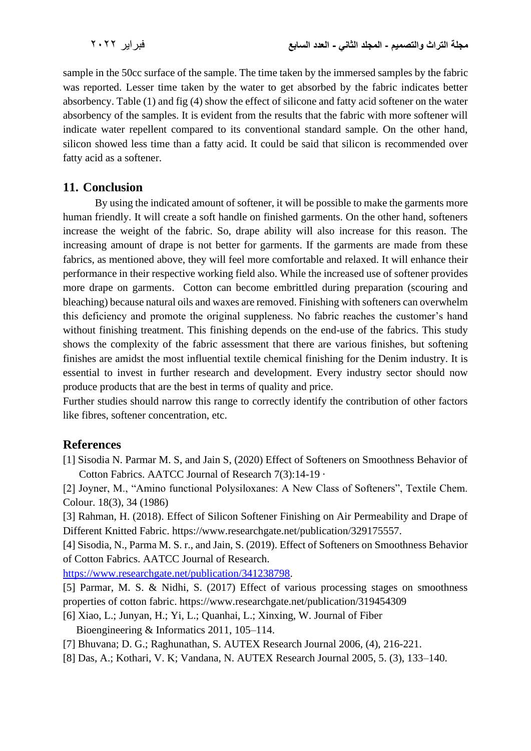sample in the 50cc surface of the sample. The time taken by the immersed samples by the fabric was reported. Lesser time taken by the water to get absorbed by the fabric indicates better absorbency. Table (1) and fig (4) show the effect of silicone and fatty acid softener on the water absorbency of the samples. It is evident from the results that the fabric with more softener will indicate water repellent compared to its conventional standard sample. On the other hand, silicon showed less time than a fatty acid. It could be said that silicon is recommended over fatty acid as a softener.

### **11. Conclusion**

 By using the indicated amount of softener, it will be possible to make the garments more human friendly. It will create a soft handle on finished garments. On the other hand, softeners increase the weight of the fabric. So, drape ability will also increase for this reason. The increasing amount of drape is not better for garments. If the garments are made from these fabrics, as mentioned above, they will feel more comfortable and relaxed. It will enhance their performance in their respective working field also. While the increased use of softener provides more drape on garments. Cotton can become embrittled during preparation (scouring and bleaching) because natural oils and waxes are removed. Finishing with softeners can overwhelm this deficiency and promote the original suppleness. No fabric reaches the customer's hand without finishing treatment. This finishing depends on the end-use of the fabrics. This study shows the complexity of the fabric assessment that there are various finishes, but softening finishes are amidst the most influential textile chemical finishing for the Denim industry. It is essential to invest in further research and development. Every industry sector should now produce products that are the best in terms of quality and price.

Further studies should narrow this range to correctly identify the contribution of other factors like fibres, softener concentration, etc.

# **References**

[1] Sisodia N. Parmar M. S, and Jain S, (2020) Effect of Softeners on Smoothness Behavior of Cotton Fabrics. AATCC Journal of Research 7(3):14-19 ·

[2] Joyner, M., "Amino functional Polysiloxanes: A New Class of Softeners", Textile Chem. Colour. 18(3), 34 (1986)

[3] Rahman, H. (2018). Effect of Silicon Softener Finishing on Air Permeability and Drape of Different Knitted Fabric. https://www.researchgate.net/publication/329175557.

[4] Sisodia, N., Parma M. S. r., and Jain, S. (2019). Effect of Softeners on Smoothness Behavior of Cotton Fabrics. AATCC Journal of Research.

[https://www.researchgate.net/publication/341238798.](https://www.researchgate.net/publication/341238798)

- [5] Parmar, M. S. & Nidhi, S. (2017) Effect of various processing stages on smoothness properties of cotton fabric. https://www.researchgate.net/publication/319454309
- [6] Xiao, L.; Junyan, H.; Yi, L.; Quanhai, L.; Xinxing, W. Journal of Fiber Bioengineering & Informatics 2011, 105–114.
- [7] Bhuvana; D. G.; Raghunathan, S. AUTEX Research Journal 2006, (4), 216-221.
- [8] Das, A.; Kothari, V. K; Vandana, N. AUTEX Research Journal 2005, 5. (3), 133–140.